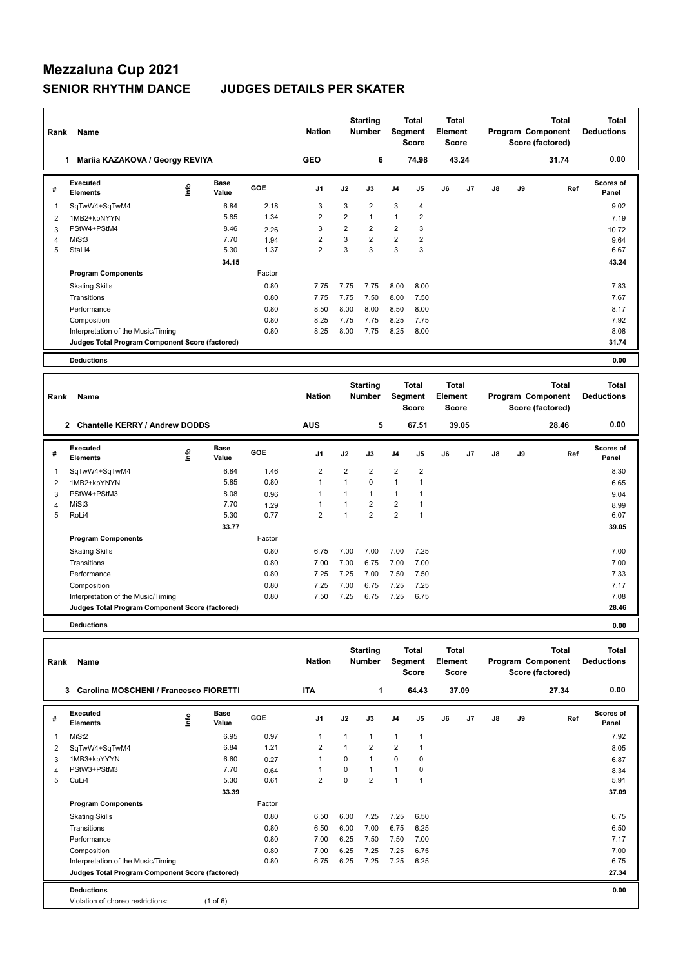# **Mezzaluna Cup 2021**

### **SENIOR RHYTHM DANCE JUDGES DETAILS PER SKATER**

| Rank | Name                                            |      |                      |        |                |                | <b>Starting</b><br><b>Number</b> |                | <b>Total</b><br>Segment<br><b>Score</b>        | <b>Total</b><br>Element<br><b>Score</b> |    |    |    | <b>Total</b><br>Program Component<br>Score (factored) | <b>Total</b><br><b>Deductions</b> |
|------|-------------------------------------------------|------|----------------------|--------|----------------|----------------|----------------------------------|----------------|------------------------------------------------|-----------------------------------------|----|----|----|-------------------------------------------------------|-----------------------------------|
|      | 1 Mariia KAZAKOVA / Georgy REVIYA               |      |                      |        | <b>GEO</b>     |                | 6                                |                | 74.98                                          | 43.24                                   |    |    |    | 31.74                                                 | 0.00                              |
| #    | <b>Executed</b><br><b>Elements</b>              | ۴    | <b>Base</b><br>Value | GOE    | J <sub>1</sub> | J2             | J3                               | J4             | J <sub>5</sub>                                 | J6                                      | J7 | J8 | J9 | Ref                                                   | <b>Scores of</b><br>Panel         |
| 1    | SqTwW4+SqTwM4                                   |      | 6.84                 | 2.18   | 3              | 3              | 2                                | 3              | $\overline{4}$                                 |                                         |    |    |    |                                                       | 9.02                              |
| 2    | 1MB2+kpNYYN                                     |      | 5.85                 | 1.34   | $\overline{2}$ | $\overline{2}$ | $\mathbf{1}$                     | 1              | 2                                              |                                         |    |    |    |                                                       | 7.19                              |
| 3    | PStW4+PStM4                                     |      | 8.46                 | 2.26   | 3              | $\overline{2}$ | $\overline{2}$                   | $\overline{2}$ | 3                                              |                                         |    |    |    |                                                       | 10.72                             |
| 4    | MiSt3                                           |      | 7.70                 | 1.94   | 2              | 3              | $\overline{2}$                   | $\overline{2}$ | $\overline{2}$                                 |                                         |    |    |    |                                                       | 9.64                              |
| 5    | StaLi4                                          |      | 5.30                 | 1.37   | $\overline{2}$ | 3              | 3                                | 3              | 3                                              |                                         |    |    |    |                                                       | 6.67                              |
|      |                                                 |      | 34.15                |        |                |                |                                  |                |                                                |                                         |    |    |    |                                                       | 43.24                             |
|      | <b>Program Components</b>                       |      |                      | Factor |                |                |                                  |                |                                                |                                         |    |    |    |                                                       |                                   |
|      | <b>Skating Skills</b>                           |      |                      | 0.80   | 7.75           | 7.75           | 7.75                             | 8.00           | 8.00                                           |                                         |    |    |    |                                                       | 7.83                              |
|      | Transitions                                     |      |                      | 0.80   | 7.75           | 7.75           | 7.50                             | 8.00           | 7.50                                           |                                         |    |    |    |                                                       | 7.67                              |
|      | Performance                                     |      |                      | 0.80   | 8.50           | 8.00           | 8.00                             | 8.50           | 8.00                                           |                                         |    |    |    |                                                       | 8.17                              |
|      | Composition                                     |      |                      | 0.80   | 8.25           | 7.75           | 7.75                             | 8.25           | 7.75                                           |                                         |    |    |    |                                                       | 7.92                              |
|      | Interpretation of the Music/Timing              |      |                      | 0.80   | 8.25           | 8.00           | 7.75                             | 8.25           | 8.00                                           |                                         |    |    |    |                                                       | 8.08                              |
|      | Judges Total Program Component Score (factored) |      |                      |        |                |                |                                  |                |                                                |                                         |    |    |    |                                                       | 31.74                             |
|      | <b>Deductions</b>                               |      |                      |        |                |                |                                  |                |                                                |                                         |    |    |    |                                                       | 0.00                              |
|      |                                                 |      |                      |        |                |                |                                  |                |                                                |                                         |    |    |    |                                                       |                                   |
| Rank | Name                                            |      |                      |        | <b>Nation</b>  |                | <b>Starting</b><br><b>Number</b> |                | <b>Total</b><br><b>Segment</b><br><b>Score</b> | <b>Total</b><br>Element<br><b>Score</b> |    |    |    | <b>Total</b><br>Program Component<br>Score (factored) | <b>Total</b><br><b>Deductions</b> |
|      | 2 Chantelle KERRY / Andrew DODDS                |      |                      |        | <b>AUS</b>     |                | 5                                |                | 67.51                                          | 39.05                                   |    |    |    | 28.46                                                 | 0.00                              |
| #    | <b>Executed</b><br><b>Elements</b>              | ١nf٥ | <b>Base</b><br>Value | GOE    | J <sub>1</sub> | J2             | J3                               | J4             | J5                                             | J6                                      | J7 | J8 | J9 | Ref                                                   | Scores of<br>Panel                |
| 1    | SqTwW4+SqTwM4                                   |      | 6.84                 | 1.46   | $\overline{2}$ | $\overline{2}$ | $\overline{2}$                   | 2              | $\overline{2}$                                 |                                         |    |    |    |                                                       | 8.30                              |
| 2    | 1MB2+kpYNYN                                     |      | 5.85                 | 0.80   | $\mathbf{1}$   | $\mathbf{1}$   | $\Omega$                         | 1              | 1                                              |                                         |    |    |    |                                                       | 6.65                              |
| 3    | PStW4+PStM3                                     |      | 8.08                 | 0.96   | $\overline{1}$ | 1              | $\mathbf{1}$                     | 1              | 1                                              |                                         |    |    |    |                                                       | 9.04                              |
| 4    | MiSt3                                           |      | 7.70                 | 1.29   | 1              | 1              | $\overline{2}$                   | $\overline{2}$ |                                                |                                         |    |    |    |                                                       | 8.99                              |

| # | Executed<br><b>Elements</b>                     | ١n | ваsе<br>Value | <b>GOE</b> | J <sub>1</sub> | J2   | J3             | J <sub>4</sub> | J5             | J6 | J7 | J8 | J9 | Ref | <b>Scores of</b><br>Panel |
|---|-------------------------------------------------|----|---------------|------------|----------------|------|----------------|----------------|----------------|----|----|----|----|-----|---------------------------|
|   | SqTwW4+SqTwM4                                   |    | 6.84          | 1.46       | 2              | 2    | $\overline{2}$ | 2              | $\overline{2}$ |    |    |    |    |     | 8.30                      |
| 2 | 1MB2+kpYNYN                                     |    | 5.85          | 0.80       |                |      | 0              |                | 4              |    |    |    |    |     | 6.65                      |
| 3 | PStW4+PStM3                                     |    | 8.08          | 0.96       |                |      |                |                | 1              |    |    |    |    |     | 9.04                      |
| 4 | MiSt <sub>3</sub>                               |    | 7.70          | 1.29       |                |      | $\overline{2}$ | 2              | 1              |    |    |    |    |     | 8.99                      |
| 5 | RoLi4                                           |    | 5.30          | 0.77       | 2              |      | 2              | 2              | 1              |    |    |    |    |     | 6.07                      |
|   |                                                 |    | 33.77         |            |                |      |                |                |                |    |    |    |    |     | 39.05                     |
|   | <b>Program Components</b>                       |    |               | Factor     |                |      |                |                |                |    |    |    |    |     |                           |
|   | <b>Skating Skills</b>                           |    |               | 0.80       | 6.75           | 7.00 | 7.00           | 7.00           | 7.25           |    |    |    |    |     | 7.00                      |
|   | Transitions                                     |    |               | 0.80       | 7.00           | 7.00 | 6.75           | 7.00           | 7.00           |    |    |    |    |     | 7.00                      |
|   | Performance                                     |    |               | 0.80       | 7.25           | 7.25 | 7.00           | 7.50           | 7.50           |    |    |    |    |     | 7.33                      |
|   | Composition                                     |    |               | 0.80       | 7.25           | 7.00 | 6.75           | 7.25           | 7.25           |    |    |    |    |     | 7.17                      |
|   | Interpretation of the Music/Timing              |    |               | 0.80       | 7.50           | 7.25 | 6.75           | 7.25           | 6.75           |    |    |    |    |     | 7.08                      |
|   | Judges Total Program Component Score (factored) |    |               |            |                |      |                |                |                |    |    |    |    |     | 28.46                     |

**Deductions 0.00**

| Rank | Name                                            | <b>Nation</b>        |            | <b>Starting</b><br><b>Number</b> | Total<br>Segment<br><b>Score</b> |                | <b>Total</b><br>Element<br><b>Score</b> |                | Program Component |       | Total<br>Score (factored) | <b>Total</b><br><b>Deductions</b> |       |                           |
|------|-------------------------------------------------|----------------------|------------|----------------------------------|----------------------------------|----------------|-----------------------------------------|----------------|-------------------|-------|---------------------------|-----------------------------------|-------|---------------------------|
|      | Carolina MOSCHENI / Francesco FIORETTI<br>3     |                      |            | <b>ITA</b>                       |                                  | 1              |                                         | 64.43          |                   | 37.09 |                           |                                   | 27.34 | 0.00                      |
| #    | Executed<br>١m<br><b>Elements</b>               | <b>Base</b><br>Value | <b>GOE</b> | J <sub>1</sub>                   | J2                               | J3             | J <sub>4</sub>                          | J <sub>5</sub> | J6                | J7    | J8                        | J9                                | Ref   | <b>Scores of</b><br>Panel |
| 1    | MiSt <sub>2</sub>                               | 6.95                 | 0.97       | 1                                | $\mathbf 1$                      | $\mathbf{1}$   | $\overline{1}$                          | $\mathbf{1}$   |                   |       |                           |                                   |       | 7.92                      |
| 2    | SqTwW4+SqTwM4                                   | 6.84                 | 1.21       | $\overline{2}$                   | 1                                | $\overline{2}$ | $\overline{2}$                          | 1              |                   |       |                           |                                   |       | 8.05                      |
| 3    | 1MB3+kpYYYN                                     | 6.60                 | 0.27       |                                  | 0                                | $\mathbf{1}$   | 0                                       | 0              |                   |       |                           |                                   |       | 6.87                      |
| 4    | PStW3+PStM3                                     | 7.70                 | 0.64       |                                  | 0                                | $\mathbf{1}$   | $\mathbf{1}$                            | 0              |                   |       |                           |                                   |       | 8.34                      |
| 5    | CuLi4                                           | 5.30                 | 0.61       | $\overline{2}$                   | $\Omega$                         | $\overline{2}$ | $\overline{1}$                          | $\overline{1}$ |                   |       |                           |                                   |       | 5.91                      |
|      |                                                 | 33.39                |            |                                  |                                  |                |                                         |                |                   |       |                           |                                   |       | 37.09                     |
|      | <b>Program Components</b>                       |                      | Factor     |                                  |                                  |                |                                         |                |                   |       |                           |                                   |       |                           |
|      | <b>Skating Skills</b>                           |                      | 0.80       | 6.50                             | 6.00                             | 7.25           | 7.25                                    | 6.50           |                   |       |                           |                                   |       | 6.75                      |
|      | Transitions                                     |                      | 0.80       | 6.50                             | 6.00                             | 7.00           | 6.75                                    | 6.25           |                   |       |                           |                                   |       | 6.50                      |
|      | Performance                                     |                      | 0.80       | 7.00                             | 6.25                             | 7.50           | 7.50                                    | 7.00           |                   |       |                           |                                   |       | 7.17                      |
|      | Composition                                     |                      | 0.80       | 7.00                             | 6.25                             | 7.25           | 7.25                                    | 6.75           |                   |       |                           |                                   |       | 7.00                      |
|      | Interpretation of the Music/Timing              |                      | 0.80       | 6.75                             | 6.25                             | 7.25           | 7.25                                    | 6.25           |                   |       |                           |                                   |       | 6.75                      |
|      | Judges Total Program Component Score (factored) |                      |            |                                  |                                  |                |                                         |                |                   |       |                           |                                   |       | 27.34                     |
|      | <b>Deductions</b>                               |                      |            |                                  |                                  |                |                                         |                |                   |       |                           |                                   |       | 0.00                      |
|      | Violation of choreo restrictions:               | $(1$ of $6)$         |            |                                  |                                  |                |                                         |                |                   |       |                           |                                   |       |                           |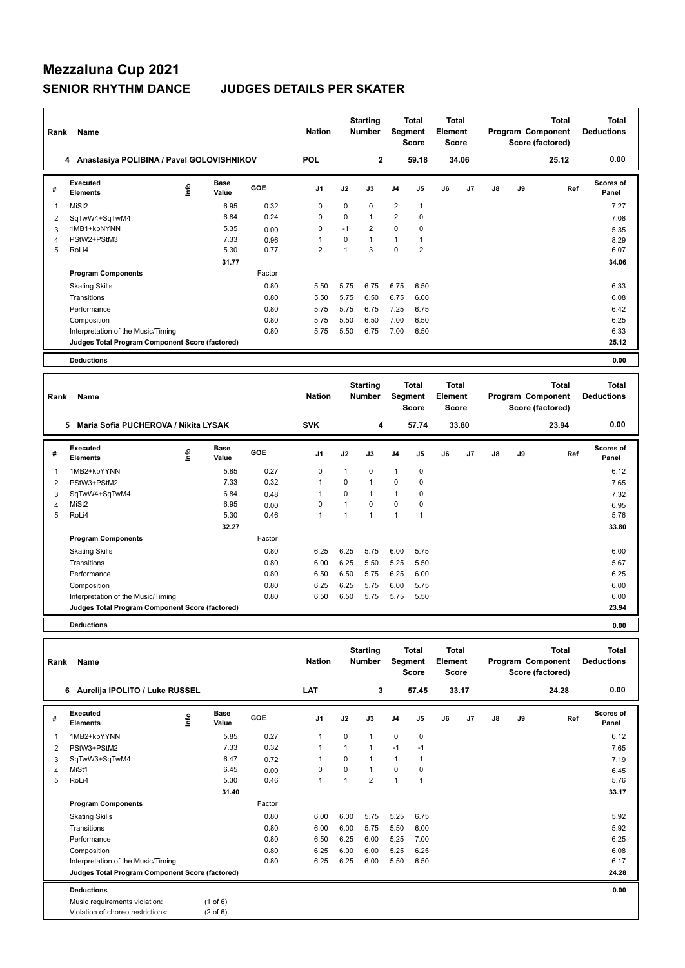# **Mezzaluna Cup 2021**

### **SENIOR RHYTHM DANCE JUDGES DETAILS PER SKATER**

| Rank         | Name                                            |      |                      |        | <b>Nation</b>  |      | <b>Starting</b><br><b>Number</b> | Segment        | <b>Total</b><br><b>Score</b> | <b>Total</b><br>Element<br><b>Score</b> |       |    |    | <b>Total</b><br>Program Component<br>Score (factored)        | <b>Total</b><br><b>Deductions</b> |
|--------------|-------------------------------------------------|------|----------------------|--------|----------------|------|----------------------------------|----------------|------------------------------|-----------------------------------------|-------|----|----|--------------------------------------------------------------|-----------------------------------|
|              | 4 Anastasiya POLIBINA / Pavel GOLOVISHNIKOV     |      |                      |        |                |      | $\overline{2}$                   |                | 59.18                        |                                         | 34.06 |    |    | 25.12                                                        | 0.00                              |
| #            | Executed<br><b>Elements</b>                     | lnfo | <b>Base</b><br>Value | GOE    | J <sub>1</sub> | J2   | J3                               | J <sub>4</sub> | J <sub>5</sub>               | J6                                      | J7    | J8 | J9 | Ref                                                          | <b>Scores of</b><br>Panel         |
| $\mathbf{1}$ | MiSt <sub>2</sub>                               |      | 6.95                 | 0.32   | 0              | 0    | 0                                | $\overline{2}$ | $\mathbf{1}$                 |                                         |       |    |    |                                                              | 7.27                              |
| 2            | SqTwW4+SqTwM4                                   |      | 6.84                 | 0.24   | 0              | 0    | $\mathbf{1}$                     | $\overline{2}$ | $\mathbf 0$                  |                                         |       |    |    |                                                              | 7.08                              |
| 3            | 1MB1+kpNYNN                                     |      | 5.35                 | 0.00   | 0              | $-1$ | $\overline{2}$                   | 0              | 0                            |                                         |       |    |    |                                                              | 5.35                              |
| 4            | PStW2+PStM3                                     |      | 7.33                 | 0.96   | 1              | 0    | $\mathbf{1}$                     | 1              | 1                            |                                         |       |    |    |                                                              | 8.29                              |
| 5            | RoLi4                                           |      | 5.30                 | 0.77   | $\overline{2}$ |      | 3                                | 0              | $\overline{2}$               |                                         |       |    |    |                                                              | 6.07                              |
|              |                                                 |      | 31.77                |        |                |      |                                  |                |                              |                                         |       |    |    |                                                              | 34.06                             |
|              | <b>Program Components</b>                       |      |                      | Factor |                |      |                                  |                |                              |                                         |       |    |    |                                                              |                                   |
|              | <b>Skating Skills</b>                           |      |                      | 0.80   | 5.50           | 5.75 | 6.75                             | 6.75           | 6.50                         |                                         |       |    |    |                                                              | 6.33                              |
|              | Transitions                                     |      |                      | 0.80   | 5.50           | 5.75 | 6.50                             | 6.75           | 6.00                         |                                         |       |    |    |                                                              | 6.08                              |
|              | Performance                                     |      |                      | 0.80   | 5.75           | 5.75 | 6.75                             | 7.25           | 6.75                         |                                         |       |    |    |                                                              | 6.42                              |
|              | Composition                                     |      |                      | 0.80   | 5.75           | 5.50 | 6.50                             | 7.00           | 6.50                         |                                         |       |    |    |                                                              | 6.25                              |
|              | Interpretation of the Music/Timing              |      |                      | 0.80   | 5.75           | 5.50 | 6.75                             | 7.00           | 6.50                         |                                         |       |    |    |                                                              | 6.33                              |
|              | Judges Total Program Component Score (factored) |      |                      |        |                |      |                                  |                |                              |                                         |       |    |    |                                                              | 25.12                             |
|              | <b>Deductions</b>                               |      |                      |        |                |      |                                  |                |                              |                                         |       |    |    |                                                              | 0.00                              |
| Rank         | Name                                            |      |                      |        | <b>Nation</b>  |      | <b>Starting</b><br><b>Number</b> | Segment        | <b>Total</b><br><b>Score</b> | <b>Total</b><br>Element<br>$S_{CMB}$    |       |    |    | <b>Total</b><br><b>Program Component</b><br>Score (factored) | <b>Total</b><br><b>Deductions</b> |

|                                           |                                                 |   |               |            |                |              |                | <b>Score</b><br><b>Score</b> |                |       |    | Score (factored) |       |      |                           |
|-------------------------------------------|-------------------------------------------------|---|---------------|------------|----------------|--------------|----------------|------------------------------|----------------|-------|----|------------------|-------|------|---------------------------|
| 5<br>Maria Sofia PUCHEROVA / Nikita LYSAK |                                                 |   |               | <b>SVK</b> |                | 4            |                | 57.74                        |                | 33.80 |    |                  | 23.94 | 0.00 |                           |
| #                                         | Executed<br><b>Elements</b>                     | ۴ | Base<br>Value | <b>GOE</b> | J <sub>1</sub> | J2           | J3             | J <sub>4</sub>               | J <sub>5</sub> | J6    | J7 | J8               | J9    | Ref  | <b>Scores of</b><br>Panel |
| 1                                         | 1MB2+kpYYNN                                     |   | 5.85          | 0.27       | $\mathbf 0$    | $\mathbf{1}$ | $\mathbf 0$    | 1                            | $\mathbf 0$    |       |    |                  |       |      | 6.12                      |
| 2                                         | PStW3+PStM2                                     |   | 7.33          | 0.32       | 1              | $\Omega$     | $\mathbf{1}$   | 0                            | 0              |       |    |                  |       |      | 7.65                      |
| 3                                         | SqTwW4+SqTwM4                                   |   | 6.84          | 0.48       | 1              | 0            | 1              | 1                            | 0              |       |    |                  |       |      | 7.32                      |
| 4                                         | MiSt <sub>2</sub>                               |   | 6.95          | 0.00       | 0              |              | 0              | 0                            | 0              |       |    |                  |       |      | 6.95                      |
| 5                                         | RoLi4                                           |   | 5.30          | 0.46       | 1              | 1            | $\overline{1}$ | 1                            | 1              |       |    |                  |       |      | 5.76                      |
|                                           |                                                 |   | 32.27         |            |                |              |                |                              |                |       |    |                  |       |      | 33.80                     |
|                                           | <b>Program Components</b>                       |   |               | Factor     |                |              |                |                              |                |       |    |                  |       |      |                           |
|                                           | <b>Skating Skills</b>                           |   |               | 0.80       | 6.25           | 6.25         | 5.75           | 6.00                         | 5.75           |       |    |                  |       |      | 6.00                      |
|                                           | Transitions                                     |   |               | 0.80       | 6.00           | 6.25         | 5.50           | 5.25                         | 5.50           |       |    |                  |       |      | 5.67                      |
|                                           | Performance                                     |   |               | 0.80       | 6.50           | 6.50         | 5.75           | 6.25                         | 6.00           |       |    |                  |       |      | 6.25                      |
|                                           | Composition                                     |   |               | 0.80       | 6.25           | 6.25         | 5.75           | 6.00                         | 5.75           |       |    |                  |       |      | 6.00                      |
|                                           | Interpretation of the Music/Timing              |   |               | 0.80       | 6.50           | 6.50         | 5.75           | 5.75                         | 5.50           |       |    |                  |       |      | 6.00                      |
|                                           | Judges Total Program Component Score (factored) |   |               |            |                |              |                |                              |                |       |    |                  |       |      | 23.94                     |
|                                           |                                                 |   |               |            |                |              |                |                              |                |       |    |                  |       |      |                           |

**Deductions 0.00**

| Rank | Name                                                               | <b>Nation</b> | <b>Starting</b><br><b>Number</b>    |            | Segment        | <b>Total</b><br><b>Score</b> | <b>Total</b><br>Element<br><b>Score</b> |                |                |    | <b>Total</b><br>Program Component<br>Score (factored) | <b>Total</b><br><b>Deductions</b> |    |       |                    |
|------|--------------------------------------------------------------------|---------------|-------------------------------------|------------|----------------|------------------------------|-----------------------------------------|----------------|----------------|----|-------------------------------------------------------|-----------------------------------|----|-------|--------------------|
|      | 6<br>Aurelija IPOLITO / Luke RUSSEL                                |               |                                     |            | <b>LAT</b>     |                              | 3                                       |                | 57.45          |    | 33.17                                                 |                                   |    | 24.28 | 0.00               |
| #    | Executed<br><b>Elements</b>                                        | ١mfo          | <b>Base</b><br>Value                | <b>GOE</b> | J <sub>1</sub> | J2                           | J3                                      | J <sub>4</sub> | J <sub>5</sub> | J6 | J7                                                    | J8                                | J9 | Ref   | Scores of<br>Panel |
| 1    | 1MB2+kpYYNN                                                        |               | 5.85                                | 0.27       | 1              | $\Omega$                     | $\mathbf{1}$                            | $\mathbf 0$    | 0              |    |                                                       |                                   |    |       | 6.12               |
| 2    | PStW3+PStM2                                                        |               | 7.33                                | 0.32       | $\mathbf 1$    | 1                            | $\mathbf{1}$                            | $-1$           | $-1$           |    |                                                       |                                   |    |       | 7.65               |
| 3    | SqTwW3+SqTwM4                                                      |               | 6.47                                | 0.72       | $\mathbf 1$    | 0                            | 1                                       | 1              | 1              |    |                                                       |                                   |    |       | 7.19               |
| 4    | MiSt1                                                              |               | 6.45                                | 0.00       | 0              | 0                            | $\mathbf{1}$                            | $\mathbf 0$    | 0              |    |                                                       |                                   |    |       | 6.45               |
| 5    | RoLi4                                                              |               | 5.30                                | 0.46       | $\mathbf{1}$   | 1                            | $\overline{2}$                          | $\overline{1}$ | $\mathbf{1}$   |    |                                                       |                                   |    |       | 5.76               |
|      |                                                                    |               | 31.40                               |            |                |                              |                                         |                |                |    |                                                       |                                   |    |       | 33.17              |
|      | <b>Program Components</b>                                          |               |                                     | Factor     |                |                              |                                         |                |                |    |                                                       |                                   |    |       |                    |
|      | <b>Skating Skills</b>                                              |               |                                     | 0.80       | 6.00           | 6.00                         | 5.75                                    | 5.25           | 6.75           |    |                                                       |                                   |    |       | 5.92               |
|      | Transitions                                                        |               |                                     | 0.80       | 6.00           | 6.00                         | 5.75                                    | 5.50           | 6.00           |    |                                                       |                                   |    |       | 5.92               |
|      | Performance                                                        |               |                                     | 0.80       | 6.50           | 6.25                         | 6.00                                    | 5.25           | 7.00           |    |                                                       |                                   |    |       | 6.25               |
|      | Composition                                                        |               |                                     | 0.80       | 6.25           | 6.00                         | 6.00                                    | 5.25           | 6.25           |    |                                                       |                                   |    |       | 6.08               |
|      | Interpretation of the Music/Timing                                 |               |                                     | 0.80       | 6.25           | 6.25                         | 6.00                                    | 5.50           | 6.50           |    |                                                       |                                   |    |       | 6.17               |
|      | Judges Total Program Component Score (factored)                    |               |                                     |            |                |                              |                                         |                |                |    |                                                       |                                   |    |       | 24.28              |
|      | <b>Deductions</b>                                                  |               |                                     |            |                |                              |                                         |                |                |    |                                                       |                                   |    |       | 0.00               |
|      | Music requirements violation:<br>Violation of choreo restrictions: |               | $(1$ of $6)$<br>$(2 \text{ of } 6)$ |            |                |                              |                                         |                |                |    |                                                       |                                   |    |       |                    |